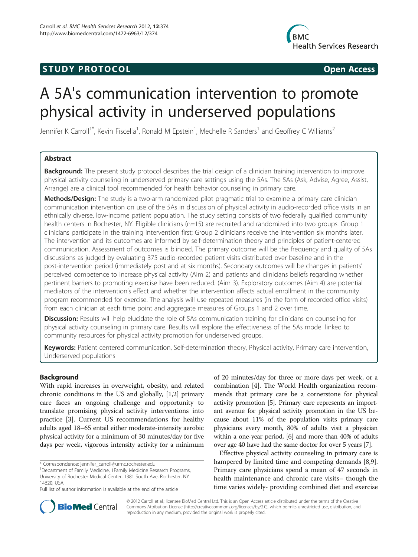# **STUDY PROTOCOL CONSUMING THE STUDY PROTOCOL**



# A 5A's communication intervention to promote physical activity in underserved populations

Jennifer K Carroll<sup>1\*</sup>, Kevin Fiscella<sup>1</sup>, Ronald M Epstein<sup>1</sup>, Mechelle R Sanders<sup>1</sup> and Geoffrey C Williams<sup>2</sup>

# Abstract

**Background:** The present study protocol describes the trial design of a clinician training intervention to improve physical activity counseling in underserved primary care settings using the 5As. The 5As (Ask, Advise, Agree, Assist, Arrange) are a clinical tool recommended for health behavior counseling in primary care.

Methods/Design: The study is a two-arm randomized pilot pragmatic trial to examine a primary care clinician communication intervention on use of the 5As in discussion of physical activity in audio-recorded office visits in an ethnically diverse, low-income patient population. The study setting consists of two federally qualified community health centers in Rochester, NY. Eligible clinicians (n=15) are recruited and randomized into two groups. Group 1 clinicians participate in the training intervention first; Group 2 clinicians receive the intervention six months later. The intervention and its outcomes are informed by self-determination theory and principles of patient-centered communication. Assessment of outcomes is blinded. The primary outcome will be the frequency and quality of 5As discussions as judged by evaluating 375 audio-recorded patient visits distributed over baseline and in the post-intervention period (immediately post and at six months). Secondary outcomes will be changes in patients' perceived competence to increase physical activity (Aim 2) and patients and clinicians beliefs regarding whether pertinent barriers to promoting exercise have been reduced. (Aim 3). Exploratory outcomes (Aim 4) are potential mediators of the intervention's effect and whether the intervention affects actual enrollment in the community program recommended for exercise. The analysis will use repeated measures (in the form of recorded office visits) from each clinician at each time point and aggregate measures of Groups 1 and 2 over time.

Discussion: Results will help elucidate the role of 5As communication training for clinicians on counseling for physical activity counseling in primary care. Results will explore the effectiveness of the 5As model linked to community resources for physical activity promotion for underserved groups.

Keywords: Patient centered communication, Self-determination theory, Physical activity, Primary care intervention, Underserved populations

# Background

With rapid increases in overweight, obesity, and related chronic conditions in the US and globally, [[1,2\]](#page-11-0) primary care faces an ongoing challenge and opportunity to translate promising physical activity interventions into practice [[3\]](#page-11-0). Current US recommendations for healthy adults aged 18–65 entail either moderate-intensity aerobic physical activity for a minimum of 30 minutes/day for five days per week, vigorous intensity activity for a minimum

of 20 minutes/day for three or more days per week, or a combination [\[4\]](#page-11-0). The World Health organization recommends that primary care be a cornerstone for physical activity promotion [\[5\]](#page-11-0). Primary care represents an important avenue for physical activity promotion in the US because about 11% of the population visits primary care physicians every month, 80% of adults visit a physician within a one-year period, [\[6\]](#page-11-0) and more than 40% of adults over age 40 have had the same doctor for over 5 years [\[7\]](#page-11-0).

Effective physical activity counseling in primary care is hampered by limited time and competing demands [\[8,9](#page-11-0)]. Primary care physicians spend a mean of 47 seconds in health maintenance and chronic care visits– though the time varies widely- providing combined diet and exercise



© 2012 Carroll et al.; licensee BioMed Central Ltd. This is an Open Access article distributed under the terms of the Creative Commons Attribution License [\(http://creativecommons.org/licenses/by/2.0\)](http://creativecommons.org/licenses/by/2.0), which permits unrestricted use, distribution, and reproduction in any medium, provided the original work is properly cited.

<sup>\*</sup> Correspondence: [jennifer\\_carroll@urmc.rochester.edu](mailto:jennifer_carroll@urmc.rochester.edu) <sup>1</sup>

Department of Family Medicine, 1Family Medicine Research Programs, University of Rochester Medical Center, 1381 South Ave, Rochester, NY 14620, USA

Full list of author information is available at the end of the article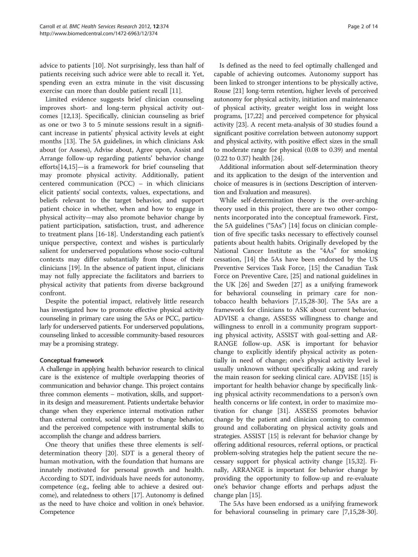advice to patients [\[10\]](#page-11-0). Not surprisingly, less than half of patients receiving such advice were able to recall it. Yet, spending even an extra minute in the visit discussing exercise can more than double patient recall [[11\]](#page-11-0).

Limited evidence suggests brief clinician counseling improves short- and long-term physical activity outcomes [[12,13\]](#page-11-0). Specifically, clinician counseling as brief as one or two 3 to 5 minute sessions result in a significant increase in patients' physical activity levels at eight months [\[13](#page-11-0)]. The 5A guidelines, in which clinicians Ask about (or Assess), Advise about, Agree upon, Assist and Arrange follow-up regarding patients' behavior change efforts[[14,15\]](#page-11-0)—is a framework for brief counseling that may promote physical activity. Additionally, patient centered communication (PCC) – in which clinicians elicit patients' social contexts, values, expectations, and beliefs relevant to the target behavior, and support patient choice in whether, when and how to engage in physical activity—may also promote behavior change by patient participation, satisfaction, trust, and adherence to treatment plans [[16](#page-11-0)-[18\]](#page-11-0). Understanding each patient's unique perspective, context and wishes is particularly salient for underserved populations whose socio-cultural contexts may differ substantially from those of their clinicians [\[19\]](#page-12-0). In the absence of patient input, clinicians may not fully appreciate the facilitators and barriers to physical activity that patients from diverse background confront.

Despite the potential impact, relatively little research has investigated how to promote effective physical activity counseling in primary care using the 5As or PCC, particularly for underserved patients. For underserved populations, counseling linked to accessible community-based resources may be a promising strategy.

# Conceptual framework

A challenge in applying health behavior research to clinical care is the existence of multiple overlapping theories of communication and behavior change. This project contains three common elements – motivation, skills, and supportin its design and measurement. Patients undertake behavior change when they experience internal motivation rather than external control, social support to change behavior, and the perceived competence with instrumental skills to accomplish the change and address barriers.

One theory that unifies these three elements is selfdetermination theory [\[20](#page-12-0)]. SDT is a general theory of human motivation, with the foundation that humans are innately motivated for personal growth and health. According to SDT, individuals have needs for autonomy, competence (e.g., feeling able to achieve a desired outcome), and relatedness to others [\[17\]](#page-11-0). Autonomy is defined as the need to have choice and volition in one's behavior. Competence

Is defined as the need to feel optimally challenged and capable of achieving outcomes. Autonomy support has been linked to stronger intentions to be physically active, Rouse [\[21\]](#page-12-0) long-term retention, higher levels of perceived autonomy for physical activity, initiation and maintenance of physical activity, greater weight loss in weight loss programs, [[17](#page-11-0)[,22](#page-12-0)] and perceived competence for physical activity [\[23](#page-12-0)]. A recent meta-analysis of 30 studies found a significant positive correlation between autonomy support and physical activity, with positive effect sizes in the small to moderate range for physical (0.08 to 0.39) and mental (0.22 to 0.37) health [\[24\]](#page-12-0).

Additional information about self-determination theory and its application to the design of the intervention and choice of measures is in (sections Description of intervention and Evaluation and measures).

While self-determination theory is the over-arching theory used in this project, there are two other components incorporated into the conceptual framework. First, the 5A guidelines ("5As") [\[14](#page-11-0)] focus on clinician completion of five specific tasks necessary to effectively counsel patients about health habits. Originally developed by the National Cancer Institute as the "4As" for smoking cessation, [[14](#page-11-0)] the 5As have been endorsed by the US Preventive Services Task Force, [\[15](#page-11-0)] the Canadian Task Force on Preventive Care, [[25\]](#page-12-0) and national guidelines in the UK [\[26\]](#page-12-0) and Sweden [\[27](#page-12-0)] as a unifying framework for behavioral counseling in primary care for nontobacco health behaviors [\[7,15](#page-11-0)[,28-30](#page-12-0)]. The 5As are a framework for clinicians to ASK about current behavior, ADVISE a change, ASSESS willingness to change and willingness to enroll in a community program supporting physical activity, ASSIST with goal-setting and AR-RANGE follow-up. ASK is important for behavior change to explicitly identify physical activity as potentially in need of change; one's physical activity level is usually unknown without specifically asking and rarely the main reason for seeking clinical care. ADVISE [\[15](#page-11-0)] is important for health behavior change by specifically linking physical activity recommendations to a person's own health concerns or life context, in order to maximize motivation for change [\[31](#page-12-0)]. ASSESS promotes behavior change by the patient and clinician coming to common ground and collaborating on physical activity goals and strategies. ASSIST [[15](#page-11-0)] is relevant for behavior change by offering additional resources, referral options, or practical problem-solving strategies help the patient secure the necessary support for physical activity change [\[15,](#page-11-0)[32](#page-12-0)]. Finally, ARRANGE is important for behavior change by providing the opportunity to follow-up and re-evaluate one's behavior change efforts and perhaps adjust the change plan [\[15\]](#page-11-0).

The 5As have been endorsed as a unifying framework for behavioral counseling in primary care [\[7,15,](#page-11-0)[28-30](#page-12-0)].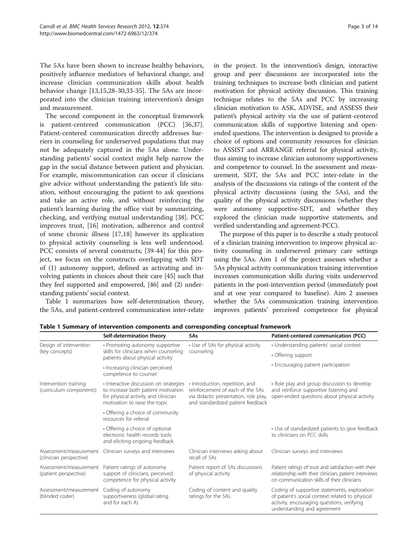<span id="page-2-0"></span>The 5As have been shown to increase healthy behaviors, positively influence mediators of behavioral change, and increase clinician communication skills about health behavior change [\[13,15](#page-11-0)[,28](#page-12-0)-[30](#page-12-0),[33](#page-12-0)-[35\]](#page-12-0). The 5As are incorporated into the clinician training intervention's design and measurement.

The second component in the conceptual framework is patient-centered communication (PCC) [\[36,37](#page-12-0)]. Patient-centered communication directly addresses barriers in counseling for underserved populations that may not be adequately captured in the 5As alone. Understanding patients' social context might help narrow the gap in the social distance between patient and physician. For example, miscommunication can occur if clinicians give advice without understanding the patient's life situation, without encouraging the patient to ask questions and take an active role, and without reinforcing the patient's learning during the office visit by summarizing, checking, and verifying mutual understanding [\[38\]](#page-12-0). PCC improves trust, [[16](#page-11-0)] motivation, adherence and control of some chronic illness [\[17,18\]](#page-11-0) however its application to physical activity counseling is less well understood. PCC consists of several constructs; [\[39](#page-12-0)-[44](#page-12-0)] for this project, we focus on the constructs overlapping with SDT of (1) autonomy support, defined as activating and involving patients in choices about their care [\[45](#page-12-0)] such that they feel supported and empowered, [[46](#page-12-0)] and (2) understanding patients' social context.

Table 1 summarizes how self-determination theory, the 5As, and patient-centered communication inter-relate in the project. In the intervention's design, interactive group and peer discussions are incorporated into the training techniques to increase both clinician and patient motivation for physical activity discussion. This training technique relates to the 5As and PCC by increasing clinician motivation to ASK, ADVISE, and ASSESS their patient's physical activity via the use of patient-centered communication skills of supportive listening and openended questions. The intervention is designed to provide a choice of options and community resources for clinician to ASSIST and ARRANGE referral for physical activity, thus aiming to increase clinician autonomy supportiveness and competence to counsel. In the assessment and measurement, SDT, the 5As and PCC inter-relate in the analysis of the discussions via ratings of the content of the physical activity discussions (using the 5As), and the quality of the physical activity discussions (whether they were autonomy supportive-SDT, and whether they explored the clinician made supportive statements, and verified understanding and agreement-PCC).

The purpose of this paper is to describe a study protocol of a clinician training intervention to improve physical activity counseling in underserved primary care settings using the 5As. Aim 1 of the project assesses whether a 5As physical activity communication training intervention increases communication skills during visits underserved patients in the post-intervention period (immediately post and at one year compared to baseline). Aim 2 assesses whether the 5As communication training intervention improves patients' perceived competence for physical

|  | Table 1 Summary of intervention components and corresponding conceptual framework |  |  |  |  |
|--|-----------------------------------------------------------------------------------|--|--|--|--|
|--|-----------------------------------------------------------------------------------|--|--|--|--|

|                                                   | Self-determination theory                                                                                                                             | 5As                                                                                                                                               | Patient-centered communication (PCC)                                                                                                                                         |  |
|---------------------------------------------------|-------------------------------------------------------------------------------------------------------------------------------------------------------|---------------------------------------------------------------------------------------------------------------------------------------------------|------------------------------------------------------------------------------------------------------------------------------------------------------------------------------|--|
| Design of intervention<br>(key concepts)          | • Promoting autonomy supportive                                                                                                                       | • Use of 5As for physical activity<br>counseling                                                                                                  | · Understanding patients' social context                                                                                                                                     |  |
|                                                   | skills for clinicians when counseling<br>patients about physical activity                                                                             |                                                                                                                                                   | • Offering support                                                                                                                                                           |  |
|                                                   | · Increasing clinician perceived<br>competence to counsel                                                                                             |                                                                                                                                                   | • Encouraging patient participation                                                                                                                                          |  |
| Intervention training<br>(curriculum components)  | · Interactive discussion on strategies<br>to increase both patient motivation<br>for physical activity and clinician<br>motivation to raise the topic | • Introduction, repetition, and<br>reinforcement of each of the 5As<br>via didactic presentation, role play,<br>and standardized patient feedback | • Role play and group discussion to develop<br>and reinforce supportive listening and<br>open-ended questions about physical activity                                        |  |
|                                                   | • Offering a choice of community<br>resources for referral                                                                                            |                                                                                                                                                   |                                                                                                                                                                              |  |
|                                                   | • Offering a choice of optional<br>electronic health records tools<br>and eliciting ongoing feedback                                                  |                                                                                                                                                   | • Use of standardized patients to give feedback<br>to clinicians on PCC skills                                                                                               |  |
| Assessment/measurement<br>(clinician perspective) | Clinician surveys and interviews                                                                                                                      | Clinician interviews asking about<br>recall of 5As                                                                                                | Clinician surveys and interviews                                                                                                                                             |  |
| Assessment/measurement<br>(patient perspective)   | Patient ratings of autonomy<br>support of clinicians, perceived<br>competence for physical activity                                                   | Patient report of 5As discussions<br>of physical activity                                                                                         | Patient ratings of trust and satisfaction with their<br>relationship with their clinician; patient interviews<br>on communication skills of their clinicians                 |  |
| Assessment/measurement<br>(blinded coder)         | Coding of autonomy<br>supportiveness (global rating<br>and for each A)                                                                                | Coding of content and quality<br>ratings for the 5As                                                                                              | Coding of supportive statements, exploration<br>of patient's social context related to physical<br>activity, encouraging questions, verifying<br>understanding and agreement |  |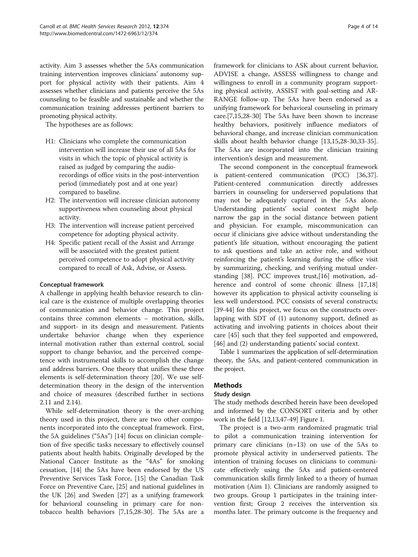activity. Aim 3 assesses whether the 5As communication training intervention improves clinicians' autonomy support for physical activity with their patients. Aim 4 assesses whether clinicians and patients perceive the 5As counseling to be feasible and sustainable and whether the communication training addresses pertinent barriers to promoting physical activity.

The hypotheses are as follows:

- H1: Clinicians who complete the communication intervention will increase their use of all 5As for visits in which the topic of physical activity is raised as judged by comparing the audiorecordings of office visits in the post-intervention period (immediately post and at one year) compared to baseline.
- H2: The intervention will increase clinician autonomy supportiveness when counseling about physical activity.
- H3: The intervention will increase patient perceived competence for adopting physical activity.
- H4: Specific patient recall of the Assist and Arrange will be associated with the greatest patient perceived competence to adopt physical activity compared to recall of Ask, Advise, or Assess.

#### Conceptual framework

A challenge in applying health behavior research to clinical care is the existence of multiple overlapping theories of communication and behavior change. This project contains three common elements – motivation, skills, and support- in its design and measurement. Patients undertake behavior change when they experience internal motivation rather than external control, social support to change behavior, and the perceived competence with instrumental skills to accomplish the change and address barriers. One theory that unifies these three elements is self-determination theory [[20\]](#page-12-0). We use selfdetermination theory in the design of the intervention and choice of measures (described further in sections 2.11 and 2.14).

While self-determination theory is the over-arching theory used in this project, there are two other components incorporated into the conceptual framework. First, the 5A guidelines ("5As") [\[14](#page-11-0)] focus on clinician completion of five specific tasks necessary to effectively counsel patients about health habits. Originally developed by the National Cancer Institute as the "4As" for smoking cessation, [[14](#page-11-0)] the 5As have been endorsed by the US Preventive Services Task Force, [\[15\]](#page-11-0) the Canadian Task Force on Preventive Care, [[25\]](#page-12-0) and national guidelines in the UK [\[26\]](#page-12-0) and Sweden [\[27](#page-12-0)] as a unifying framework for behavioral counseling in primary care for nontobacco health behaviors [\[7,15](#page-11-0)[,28-30](#page-12-0)]. The 5As are a

framework for clinicians to ASK about current behavior, ADVISE a change, ASSESS willingness to change and willingness to enroll in a community program supporting physical activity, ASSIST with goal-setting and AR-RANGE follow-up. The 5As have been endorsed as a unifying framework for behavioral counseling in primary care.[[7,15,](#page-11-0)[28-30](#page-12-0)] The 5As have been shown to increase healthy behaviors, positively influence mediators of behavioral change, and increase clinician communication skills about health behavior change [[13,15,](#page-11-0)[28-30,33-35](#page-12-0)]. The 5As are incorporated into the clinician training intervention's design and measurement.

The second component in the conceptual framework is patient-centered communication (PCC) [\[36,37](#page-12-0)]. Patient-centered communication directly addresses barriers in counseling for underserved populations that may not be adequately captured in the 5As alone. Understanding patients' social context might help narrow the gap in the social distance between patient and physician. For example, miscommunication can occur if clinicians give advice without understanding the patient's life situation, without encouraging the patient to ask questions and take an active role, and without reinforcing the patient's learning during the office visit by summarizing, checking, and verifying mutual understanding [\[38\]](#page-12-0). PCC improves trust,[[16\]](#page-11-0) motivation, adherence and control of some chronic illness [[17](#page-11-0),[18](#page-11-0)] however its application to physical activity counseling is less well understood. PCC consists of several constructs; [[39-44](#page-12-0)] for this project, we focus on the constructs overlapping with SDT of (1) autonomy support, defined as activating and involving patients in choices about their care [\[45](#page-12-0)] such that they feel supported and empowered, [[46\]](#page-12-0) and (2) understanding patients' social context.

Table [1](#page-2-0) summarizes the application of self-determination theory, the 5As, and patient-centered communication in the project.

# Methods

# Study design

The study methods described herein have been developed and informed by the CONSORT criteria and by other work in the field [\[12,13](#page-11-0)[,47-49](#page-12-0)] Figure [1](#page-4-0).

The project is a two-arm randomized pragmatic trial to pilot a communication training intervention for primary care clinicians (n=13) on use of the 5As to promote physical activity in underserved patients. The intention of training focuses on clinicians to communicate effectively using the 5As and patient-centered communication skills firmly linked to a theory of human motivation (Aim 1). Clinicians are randomly assigned to two groups. Group 1 participates in the training intervention first; Group 2 receives the intervention six months later. The primary outcome is the frequency and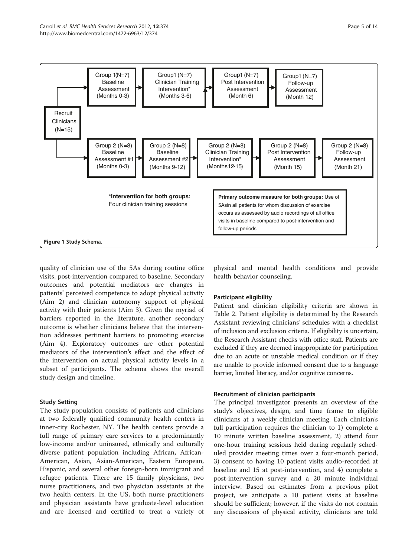<span id="page-4-0"></span>

quality of clinician use of the 5As during routine office visits, post-intervention compared to baseline. Secondary outcomes and potential mediators are changes in patients' perceived competence to adopt physical activity (Aim 2) and clinician autonomy support of physical activity with their patients (Aim 3). Given the myriad of barriers reported in the literature, another secondary outcome is whether clinicians believe that the intervention addresses pertinent barriers to promoting exercise (Aim 4). Exploratory outcomes are other potential mediators of the intervention's effect and the effect of the intervention on actual physical activity levels in a subset of participants. The schema shows the overall study design and timeline.

# Study Setting

The study population consists of patients and clinicians at two federally qualified community health centers in inner-city Rochester, NY. The health centers provide a full range of primary care services to a predominantly low-income and/or uninsured, ethnically and culturally diverse patient population including African, African-American, Asian, Asian-American, Eastern European, Hispanic, and several other foreign-born immigrant and refugee patients. There are 15 family physicians, two nurse practitioners, and two physician assistants at the two health centers. In the US, both nurse practitioners and physician assistants have graduate-level education and are licensed and certified to treat a variety of physical and mental health conditions and provide health behavior counseling.

# Participant eligibility

Patient and clinician eligibility criteria are shown in Table [2](#page-5-0). Patient eligibility is determined by the Research Assistant reviewing clinicians' schedules with a checklist of inclusion and exclusion criteria. If eligibility is uncertain, the Research Assistant checks with office staff. Patients are excluded if they are deemed inappropriate for participation due to an acute or unstable medical condition or if they are unable to provide informed consent due to a language barrier, limited literacy, and/or cognitive concerns.

# Recruitment of clinician participants

The principal investigator presents an overview of the study's objectives, design, and time frame to eligible clinicians at a weekly clinician meeting. Each clinician's full participation requires the clinician to 1) complete a 10 minute written baseline assessment, 2) attend four one-hour training sessions held during regularly scheduled provider meeting times over a four-month period, 3) consent to having 10 patient visits audio-recorded at baseline and 15 at post-intervention, and 4) complete a post-intervention survey and a 20 minute individual interview. Based on estimates from a previous pilot project, we anticipate a 10 patient visits at baseline should be sufficient; however, if the visits do not contain any discussions of physical activity, clinicians are told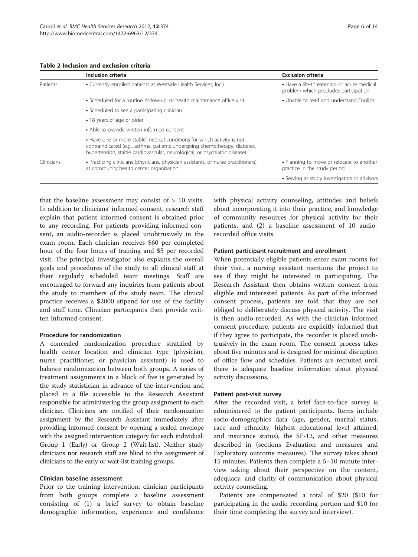<span id="page-5-0"></span>

| Table 2 Inclusion and exclusion criteria |
|------------------------------------------|
|------------------------------------------|

|            | Inclusion criteria                                                                                                                                                                                                                 | <b>Exclusion criteria</b>                                                           |
|------------|------------------------------------------------------------------------------------------------------------------------------------------------------------------------------------------------------------------------------------|-------------------------------------------------------------------------------------|
| Patients   | • Currently enrolled patients at Westside Health Services, Inc.)                                                                                                                                                                   | • Have a life-threatening or acute medical<br>problem which precludes participation |
|            | • Scheduled for a routine, follow-up, or health maintenance office visit                                                                                                                                                           | • Unable to read and understand English                                             |
|            | • Scheduled to see a participating clinician                                                                                                                                                                                       |                                                                                     |
|            | • 18 years of age or older                                                                                                                                                                                                         |                                                                                     |
|            | • Able to provide written informed consent                                                                                                                                                                                         |                                                                                     |
|            | • Have one or more stable medical conditions for which activity is not<br>contraindicated (e.g., asthma, patients undergoing chemotherapy, diabetes,<br>hypertension, stable cardiovascular, neurological, or psychiatric disease) |                                                                                     |
| Clinicians | • Practicing clinicians (physicians, physician assistants, or nurse practitioners)<br>at community health center organization                                                                                                      | • Planning to move or relocate to another<br>practice in the study period           |
|            |                                                                                                                                                                                                                                    | • Serving as study investigators or advisors                                        |

that the baseline assessment may consist of  $> 10$  visits. In addition to clinicians' informed consent, research staff explain that patient informed consent is obtained prior to any recording. For patients providing informed consent, an audio-recorder is placed unobtrusively in the exam room. Each clinician receives \$60 per completed hour of the four hours of training and \$5 per recorded visit. The principal investigator also explains the overall goals and procedures of the study to all clinical staff at their regularly scheduled team meetings. Staff are encouraged to forward any inquiries from patients about the study to members of the study team. The clinical practice receives a \$2000 stipend for use of the facility and staff time. Clinician participants then provide written informed consent.

# Procedure for randomization

A concealed randomization procedure stratified by health center location and clinician type (physician, nurse practitioner, or physician assistant) is used to balance randomization between both groups. A series of treatment assignments in a block of five is generated by the study statistician in advance of the intervention and placed in a file accessible to the Research Assistant responsible for administering the group assignment to each clinician. Clinicians are notified of their randomization assignment by the Research Assistant immediately after providing informed consent by opening a sealed envelope with the assigned intervention category for each individual: Group 1 (Early) or Group 2 (Wait-list). Neither study clinicians nor research staff are blind to the assignment of clinicians to the early or wait-list training groups.

#### Clinician baseline assessment

Prior to the training intervention, clinician participants from both groups complete a baseline assessment consisting of (1) a brief survey to obtain baseline demographic information, experience and confidence with physical activity counseling, attitudes and beliefs about incorporating it into their practice, and knowledge of community resources for physical activity for their patients, and (2) a baseline assessment of 10 audiorecorded office visits.

#### Patient participant recruitment and enrollment

When potentially eligible patients enter exam rooms for their visit, a nursing assistant mentions the project to see if they might be interested in participating. The Research Assistant then obtains written consent from eligible and interested patients. As part of the informed consent process, patients are told that they are not obliged to deliberately discuss physical activity. The visit is then audio-recorded. As with the clinician informed consent procedure, patients are explicitly informed that if they agree to participate, the recorder is placed unobtrusively in the exam room. The consent process takes about five minutes and is designed for minimal disruption of office flow and schedules. Patients are recruited until there is adequate baseline information about physical activity discussions.

#### Patient post-visit survey

After the recorded visit, a brief face-to-face survey is administered to the patient participants. Items include socio-demographics data (age, gender, marital status, race and ethnicity, highest educational level attained, and insurance status), the SF-12, and other measures described in (sections Evaluation and measures and Exploratory outcome measures). The survey takes about 15 minutes. Patients then complete a 5–10 minute interview asking about their perspective on the content, adequacy, and clarity of communication about physical activity counseling.

Patients are compensated a total of \$20 (\$10 for participating in the audio recording portion and \$10 for their time completing the survey and interview).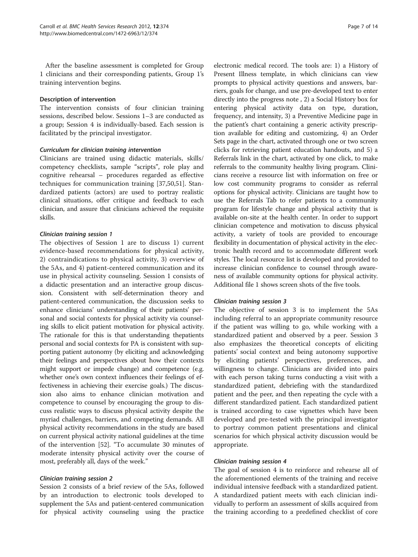After the baseline assessment is completed for Group 1 clinicians and their corresponding patients, Group 1's training intervention begins.

#### Description of intervention

The intervention consists of four clinician training sessions, described below. Sessions 1–3 are conducted as a group; Session 4 is individually-based. Each session is facilitated by the principal investigator.

#### Curriculum for clinician training intervention

Clinicians are trained using didactic materials, skills/ competency checklists, sample "scripts", role play and cognitive rehearsal – procedures regarded as effective techniques for communication training [\[37,50,51\]](#page-12-0). Standardized patients (actors) are used to portray realistic clinical situations, offer critique and feedback to each clinician, and assure that clinicians achieved the requisite skills.

#### Clinician training session 1

The objectives of Session 1 are to discuss 1) current evidence-based recommendations for physical activity, 2) contraindications to physical activity, 3) overview of the 5As, and 4) patient-centered communication and its use in physical activity counseling. Session 1 consists of a didactic presentation and an interactive group discussion. Consistent with self-determination theory and patient-centered communication, the discussion seeks to enhance clinicians' understanding of their patients' personal and social contexts for physical activity via counseling skills to elicit patient motivation for physical activity. The rationale for this is that understanding thepatients personal and social contexts for PA is consistent with supporting patient autonomy (by eliciting and acknowledging their feelings and perspectives about how their contexts might support or impede change) and competence (e.g. whether one's own context influences their feelings of effectiveness in achieving their exercise goals.) The discussion also aims to enhance clinician motivation and competence to counsel by encouraging the group to discuss realistic ways to discuss physical activity despite the myriad challenges, barriers, and competing demands. All physical activity recommendations in the study are based on current physical activity national guidelines at the time of the intervention [[52\]](#page-12-0). "To accumulate 30 minutes of moderate intensity physical activity over the course of most, preferably all, days of the week."

#### Clinician training session 2

Session 2 consists of a brief review of the 5As, followed by an introduction to electronic tools developed to supplement the 5As and patient-centered communication for physical activity counseling using the practice

electronic medical record. The tools are: 1) a History of Present Illness template, in which clinicians can view prompts to physical activity questions and answers, barriers, goals for change, and use pre-developed text to enter directly into the progress note , 2) a Social History box for entering physical activity data on type, duration, frequency, and intensity, 3) a Preventive Medicine page in the patient's chart containing a generic activity prescription available for editing and customizing, 4) an Order Sets page in the chart, activated through one or two screen clicks for retrieving patient education handouts, and 5) a Referrals link in the chart, activated by one click, to make referrals to the community healthy living program. Clinicians receive a resource list with information on free or low cost community programs to consider as referral options for physical activity. Clinicians are taught how to use the Referrals Tab to refer patients to a community program for lifestyle change and physical activity that is available on-site at the health center. In order to support clinician competence and motivation to discuss physical activity, a variety of tools are provided to encourage flexibility in documentation of physical activity in the electronic health record and to accommodate different work styles. The local resource list is developed and provided to increase clinician confidence to counsel through awareness of available community options for physical activity. Additional file [1](#page-11-0) shows screen shots of the five tools.

#### Clinician training session 3

The objective of session 3 is to implement the 5As including referral to an appropriate community resource if the patient was willing to go, while working with a standardized patient and observed by a peer. Session 3 also emphasizes the theoretical concepts of eliciting patients' social context and being autonomy supportive by eliciting patients' perspectives, preferences, and willingness to change. Clinicians are divided into pairs with each person taking turns conducting a visit with a standardized patient, debriefing with the standardized patient and the peer, and then repeating the cycle with a different standardized patient. Each standardized patient is trained according to case vignettes which have been developed and pre-tested with the principal investigator to portray common patient presentations and clinical scenarios for which physical activity discussion would be appropriate.

#### Clinician training session 4

The goal of session 4 is to reinforce and rehearse all of the aforementioned elements of the training and receive individual intensive feedback with a standardized patient. A standardized patient meets with each clinician individually to perform an assessment of skills acquired from the training according to a predefined checklist of core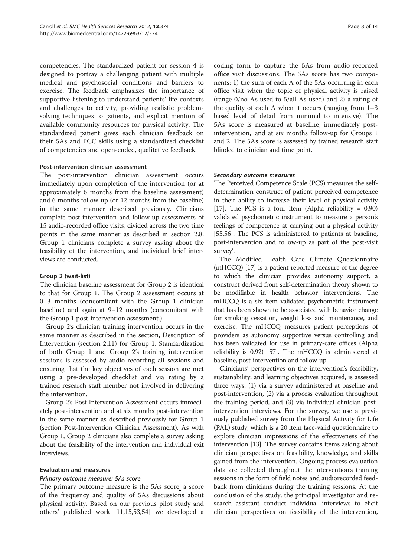competencies. The standardized patient for session 4 is designed to portray a challenging patient with multiple medical and psychosocial conditions and barriers to exercise. The feedback emphasizes the importance of supportive listening to understand patients' life contexts and challenges to activity, providing realistic problemsolving techniques to patients, and explicit mention of available community resources for physical activity. The standardized patient gives each clinician feedback on their 5As and PCC skills using a standardized checklist of competencies and open-ended, qualitative feedback.

#### Post-intervention clinician assessment

The post-intervention clinician assessment occurs immediately upon completion of the intervention (or at approximately 6 months from the baseline assessment) and 6 months follow-up (or 12 months from the baseline) in the same manner described previously. Clinicians complete post-intervention and follow-up assessments of 15 audio-recorded office visits, divided across the two time points in the same manner as described in section 2.8. Group 1 clinicians complete a survey asking about the feasibility of the intervention, and individual brief interviews are conducted.

#### Group 2 (wait-list)

The clinician baseline assessment for Group 2 is identical to that for Group 1. The Group 2 assessment occurs at 0–3 months (concomitant with the Group 1 clinician baseline) and again at 9–12 months (concomitant with the Group 1 post-intervention assessment.)

Group 2's clinician training intervention occurs in the same manner as described in the section, Description of Intervention (section 2.11) for Group 1. Standardization of both Group 1 and Group 2's training intervention sessions is assessed by audio-recording all sessions and ensuring that the key objectives of each session are met using a pre-developed checklist and via rating by a trained research staff member not involved in delivering the intervention.

Group 2's Post-Intervention Assessment occurs immediately post-intervention and at six months post-intervention in the same manner as described previously for Group 1 (section Post-Intervention Clinician Assessment). As with Group 1, Group 2 clinicians also complete a survey asking about the feasibility of the intervention and individual exit interviews.

#### Evaluation and measures

#### Primary outcome measure: 5As score

The primary outcome measure is the 5As score, a score of the frequency and quality of 5As discussions about physical activity. Based on our previous pilot study and others' published work [\[11,15,](#page-11-0)[53,54\]](#page-12-0) we developed a coding form to capture the 5As from audio-recorded office visit discussions. The 5As score has two components: 1) the sum of each A of the 5As occurring in each office visit when the topic of physical activity is raised (range 0/no As used to 5/all As used) and 2) a rating of the quality of each A when it occurs (ranging from 1–3 based level of detail from minimal to intensive). The 5As score is measured at baseline, immediately postintervention, and at six months follow-up for Groups 1 and 2. The 5As score is assessed by trained research staff blinded to clinician and time point.

### Secondary outcome measures

The Perceived Competence Scale (PCS) measures the selfdetermination construct of patient perceived competence in their ability to increase their level of physical activity [[17](#page-11-0)]. The PCS is a four item (Alpha reliability  $= 0.90$ ) validated psychometric instrument to measure a person's feelings of competence at carrying out a physical activity [[55](#page-12-0),[56](#page-12-0)]. The PCS is administered to patients at baseline, post-intervention and follow-up as part of the post-visit survey'.

The Modified Health Care Climate Questionnaire (mHCCQ) [\[17\]](#page-11-0) is a patient reported measure of the degree to which the clinician provides autonomy support, a construct derived from self-determination theory shown to be modifiable in health behavior interventions. The mHCCQ is a six item validated psychometric instrument that has been shown to be associated with behavior change for smoking cessation, weight loss and maintenance, and exercise. The mHCCQ measures patient perceptions of providers as autonomy supportive versus controlling and has been validated for use in primary-care offices (Alpha reliability is 0.92) [[57](#page-12-0)]. The mHCCQ is administered at baseline, post-intervention and follow-up.

Clinicians' perspectives on the intervention's feasibility, sustainability, and learning objectives acquired, is assessed three ways: (1) via a survey administered at baseline and post-intervention, (2) via a process evaluation throughout the training period, and (3) via individual clinician postintervention interviews. For the survey, we use a previously published survey from the Physical Activity for Life (PAL) study, which is a 20 item face-valid questionnaire to explore clinician impressions of the effectiveness of the intervention [\[13\]](#page-11-0). The survey contains items asking about clinician perspectives on feasibility, knowledge, and skills gained from the intervention. Ongoing process evaluation data are collected throughout the intervention's training sessions in the form of field notes and audiorecorded feedback from clinicians during the training sessions. At the conclusion of the study, the principal investigator and research assistant conduct individual interviews to elicit clinician perspectives on feasibility of the intervention,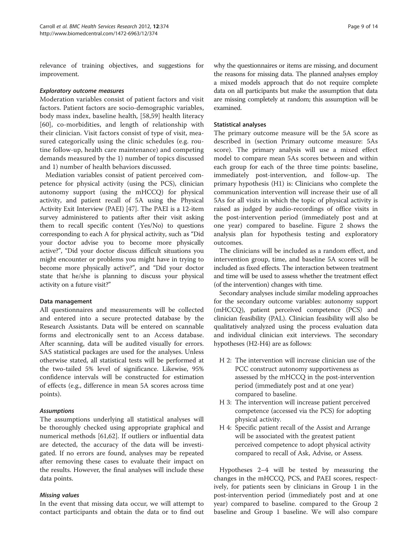relevance of training objectives, and suggestions for improvement.

#### Exploratory outcome measures

Moderation variables consist of patient factors and visit factors. Patient factors are socio-demographic variables, body mass index, baseline health, [[58,59](#page-12-0)] health literacy [[60\]](#page-12-0), co-morbidities, and length of relationship with their clinician. Visit factors consist of type of visit, measured categorically using the clinic schedules (e.g. routine follow-up, health care maintenance) and competing demands measured by the 1) number of topics discussed and 1) number of health behaviors discussed.

Mediation variables consist of patient perceived competence for physical activity (using the PCS), clinician autonomy support (using the mHCCQ) for physical activity, and patient recall of 5A using the Physical Activity Exit Interview (PAEI) [[47](#page-12-0)]. The PAEI is a 12-item survey administered to patients after their visit asking them to recall specific content (Yes/No) to questions corresponding to each A for physical activity, such as "Did your doctor advise you to become more physically active?", "Did your doctor discuss difficult situations you might encounter or problems you might have in trying to become more physically active?", and "Did your doctor state that he/she is planning to discuss your physical activity on a future visit?"

#### Data management

All questionnaires and measurements will be collected and entered into a secure protected database by the Research Assistants. Data will be entered on scannable forms and electronically sent to an Access database. After scanning, data will be audited visually for errors. SAS statistical packages are used for the analyses. Unless otherwise stated, all statistical tests will be performed at the two-tailed 5% level of significance. Likewise, 95% confidence intervals will be constructed for estimation of effects (e.g., difference in mean 5A scores across time points).

#### **Assumptions**

The assumptions underlying all statistical analyses will be thoroughly checked using appropriate graphical and numerical methods [[61,62](#page-12-0)]. If outliers or influential data are detected, the accuracy of the data will be investigated. If no errors are found, analyses may be repeated after removing these cases to evaluate their impact on the results. However, the final analyses will include these data points.

#### Missing values

In the event that missing data occur, we will attempt to contact participants and obtain the data or to find out

why the questionnaires or items are missing, and document the reasons for missing data. The planned analyses employ a mixed models approach that do not require complete data on all participants but make the assumption that data are missing completely at random; this assumption will be examined.

#### Statistical analyses

The primary outcome measure will be the 5A score as described in (section Primary outcome measure: 5As score). The primary analysis will use a mixed effect model to compare mean 5As scores between and within each group for each of the three time points: baseline, immediately post-intervention, and follow-up. The primary hypothesis (H1) is: Clinicians who complete the communication intervention will increase their use of all 5As for all visits in which the topic of physical activity is raised as judged by audio-recordings of office visits in the post-intervention period (immediately post and at one year) compared to baseline. Figure [2](#page-9-0) shows the analysis plan for hypothesis testing and exploratory outcomes.

The clinicians will be included as a random effect, and intervention group, time, and baseline 5A scores will be included as fixed effects. The interaction between treatment and time will be used to assess whether the treatment effect (of the intervention) changes with time.

Secondary analyses include similar modeling approaches for the secondary outcome variables: autonomy support (mHCCQ), patient perceived competence (PCS) and clinician feasibility (PAL). Clinician feasibility will also be qualitatively analyzed using the process evaluation data and individual clinician exit interviews. The secondary hypotheses (H2-H4) are as follows:

- H 2: The intervention will increase clinician use of the PCC construct autonomy supportiveness as assessed by the mHCCQ in the post-intervention period (immediately post and at one year) compared to baseline.
- H 3: The intervention will increase patient perceived competence (accessed via the PCS) for adopting physical activity.
- H 4: Specific patient recall of the Assist and Arrange will be associated with the greatest patient perceived competence to adopt physical activity compared to recall of Ask, Advise, or Assess.

Hypotheses 2–4 will be tested by measuring the changes in the mHCCQ, PCS, and PAEI scores, respectively, for patients seen by clinicians in Group 1 in the post-intervention period (immediately post and at one year) compared to baseline. compared to the Group 2 baseline and Group 1 baseline. We will also compare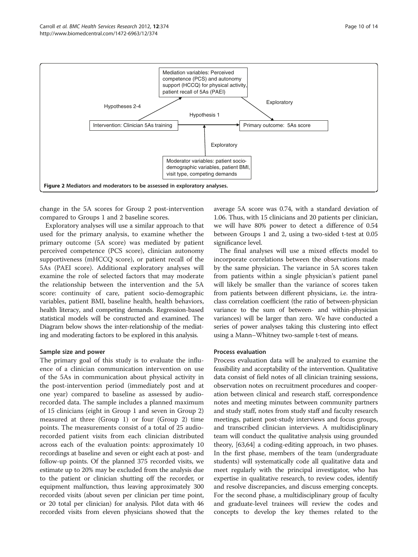<span id="page-9-0"></span>

change in the 5A scores for Group 2 post-intervention compared to Groups 1 and 2 baseline scores.

Exploratory analyses will use a similar approach to that used for the primary analysis, to examine whether the primary outcome (5A score) was mediated by patient perceived competence (PCS score), clinician autonomy supportiveness (mHCCQ score), or patient recall of the 5As (PAEI score). Additional exploratory analyses will examine the role of selected factors that may moderate the relationship between the intervention and the 5A score: continuity of care, patient socio-demographic variables, patient BMI, baseline health, health behaviors, health literacy, and competing demands. Regression-based statistical models will be constructed and examined. The Diagram below shows the inter-relationship of the mediating and moderating factors to be explored in this analysis.

#### Sample size and power

The primary goal of this study is to evaluate the influence of a clinician communication intervention on use of the 5As in communication about physical activity in the post-intervention period (immediately post and at one year) compared to baseline as assessed by audiorecorded data. The sample includes a planned maximum of 15 clinicians (eight in Group 1 and seven in Group 2) measured at three (Group 1) or four (Group 2) time points. The measurements consist of a total of 25 audiorecorded patient visits from each clinician distributed across each of the evaluation points: approximately 10 recordings at baseline and seven or eight each at post- and follow-up points. Of the planned 375 recorded visits, we estimate up to 20% may be excluded from the analysis due to the patient or clinician shutting off the recorder, or equipment malfunction, thus leaving approximately 300 recorded visits (about seven per clinician per time point, or 20 total per clinician) for analysis. Pilot data with 46 recorded visits from eleven physicians showed that the average 5A score was 0.74, with a standard deviation of 1.06. Thus, with 15 clinicians and 20 patients per clinician, we will have 80% power to detect a difference of 0.54 between Groups 1 and 2, using a two-sided t-test at 0.05 significance level.

The final analyses will use a mixed effects model to incorporate correlations between the observations made by the same physician. The variance in 5A scores taken from patients within a single physician's patient panel will likely be smaller than the variance of scores taken from patients between different physicians, i.e. the intraclass correlation coefficient (the ratio of between-physician variance to the sum of between- and within-physician variances) will be larger than zero. We have conducted a series of power analyses taking this clustering into effect using a Mann–Whitney two-sample t-test of means.

#### Process evaluation

Process evaluation data will be analyzed to examine the feasibility and acceptability of the intervention. Qualitative data consist of field notes of all clinician training sessions, observation notes on recruitment procedures and cooperation between clinical and research staff, correspondence notes and meeting minutes between community partners and study staff, notes from study staff and faculty research meetings, patient post-study interviews and focus groups, and transcribed clinician interviews. A multidisciplinary team will conduct the qualitative analysis using grounded theory, [\[63,64](#page-12-0)] a coding-editing approach, in two phases. In the first phase, members of the team (undergraduate students) will systematically code all qualitative data and meet regularly with the principal investigator, who has expertise in qualitative research, to review codes, identify and resolve discrepancies, and discuss emerging concepts. For the second phase, a multidisciplinary group of faculty and graduate-level trainees will review the codes and concepts to develop the key themes related to the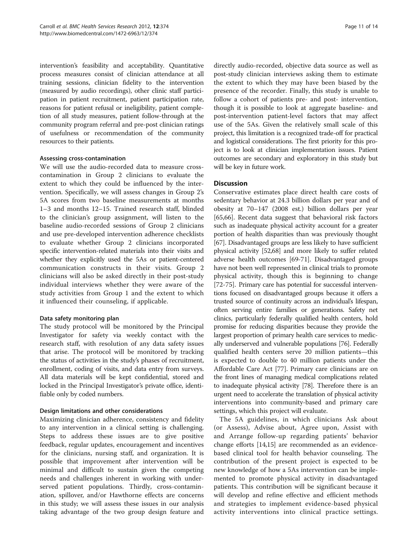intervention's feasibility and acceptability. Quantitative process measures consist of clinician attendance at all training sessions, clinician fidelity to the intervention (measured by audio recordings), other clinic staff participation in patient recruitment, patient participation rate, reasons for patient refusal or ineligibility, patient completion of all study measures, patient follow-through at the community program referral and pre-post clinician ratings of usefulness or recommendation of the community resources to their patients.

#### Assessing cross-contamination

We will use the audio-recorded data to measure crosscontamination in Group 2 clinicians to evaluate the extent to which they could be influenced by the intervention. Specifically, we will assess changes in Group 2's 5A scores from two baseline measurements at months 1–3 and months 12–15. Trained research staff, blinded to the clinician's group assignment, will listen to the baseline audio-recorded sessions of Group 2 clinicians and use pre-developed intervention adherence checklists to evaluate whether Group 2 clinicians incorporated specific intervention-related materials into their visits and whether they explicitly used the 5As or patient-centered communication constructs in their visits. Group 2 clinicians will also be asked directly in their post-study individual interviews whether they were aware of the study activities from Group 1 and the extent to which it influenced their counseling, if applicable.

#### Data safety monitoring plan

The study protocol will be monitored by the Principal Investigator for safety via weekly contact with the research staff, with resolution of any data safety issues that arise. The protocol will be monitored by tracking the status of activities in the study's phases of recruitment, enrollment, coding of visits, and data entry from surveys. All data materials will be kept confidential, stored and locked in the Principal Investigator's private office, identifiable only by coded numbers.

#### Design limitations and other considerations

Maximizing clinician adherence, consistency and fidelity to any intervention in a clinical setting is challenging. Steps to address these issues are to give positive feedback, regular updates, encouragement and incentives for the clinicians, nursing staff, and organization. It is possible that improvement after intervention will be minimal and difficult to sustain given the competing needs and challenges inherent in working with underserved patient populations. Thirdly, cross-contamination, spillover, and/or Hawthorne effects are concerns in this study; we will assess these issues in our analysis taking advantage of the two group design feature and

directly audio-recorded, objective data source as well as post-study clinician interviews asking them to estimate the extent to which they may have been biased by the presence of the recorder. Finally, this study is unable to follow a cohort of patients pre- and post- intervention, though it is possible to look at aggregate baseline- and post-intervention patient-level factors that may affect use of the 5As. Given the relatively small scale of this project, this limitation is a recognized trade-off for practical and logistical considerations. The first priority for this project is to look at clinician implementation issues. Patient outcomes are secondary and exploratory in this study but will be key in future work.

#### **Discussion**

Conservative estimates place direct health care costs of sedentary behavior at 24.3 billion dollars per year and of obesity at 70–147 (2008 est.) billion dollars per year [[65,66\]](#page-12-0). Recent data suggest that behavioral risk factors such as inadequate physical activity account for a greater portion of health disparities than was previously thought [[67](#page-12-0)]. Disadvantaged groups are less likely to have sufficient physical activity [\[52,68](#page-12-0)] and more likely to suffer related adverse health outcomes [[69](#page-12-0)-[71](#page-13-0)]. Disadvantaged groups have not been well represented in clinical trials to promote physical activity, though this is beginning to change [[72-75](#page-13-0)]. Primary care has potential for successful interventions focused on disadvantaged groups because it offers a trusted source of continuity across an individual's lifespan, often serving entire families or generations. Safety net clinics, particularly federally qualified health centers, hold promise for reducing disparities because they provide the largest proportion of primary health care services to medically underserved and vulnerable populations [[76](#page-13-0)]. Federally qualified health centers serve 20 million patients—this is expected to double to 40 million patients under the Affordable Care Act [\[77](#page-13-0)]. Primary care clinicians are on the front lines of managing medical complications related to inadequate physical activity [\[78\]](#page-13-0). Therefore there is an urgent need to accelerate the translation of physical activity interventions into community-based and primary care settings, which this project will evaluate.

The 5A guidelines, in which clinicians Ask about (or Assess), Advise about, Agree upon, Assist with and Arrange follow-up regarding patients' behavior change efforts [\[14,15](#page-11-0)] are recommended as an evidencebased clinical tool for health behavior counseling. The contribution of the present project is expected to be new knowledge of how a 5As intervention can be implemented to promote physical activity in disadvantaged patients. This contribution will be significant because it will develop and refine effective and efficient methods and strategies to implement evidence-based physical activity interventions into clinical practice settings.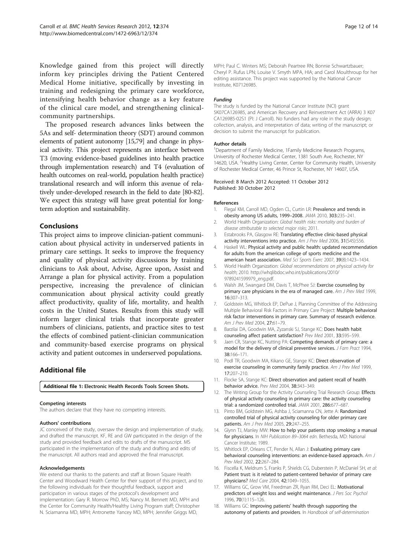<span id="page-11-0"></span>Knowledge gained from this project will directly inform key principles driving the Patient Centered Medical Home initiative, specifically by investing in training and redesigning the primary care workforce, intensifying health behavior change as a key feature of the clinical care model, and strengthening clinicalcommunity partnerships.

The proposed research advances links between the 5As and self- determination theory (SDT) around common elements of patient autonomy [15,[79\]](#page-13-0) and change in physical activity. This project represents an interface between T3 (moving evidence-based guidelines into health practice through implementation research) and T4 (evaluation of health outcomes on real-world, population health practice) translational research and will inform this avenue of relatively under-developed research in the field to date [\[80-82](#page-13-0)]. We expect this strategy will have great potential for longterm adoption and sustainability.

# Conclusions

This project aims to improve clinician-patient communication about physical activity in underserved patients in primary care settings. It seeks to improve the frequency and quality of physical activity discussions by training clinicians to Ask about, Advise, Agree upon, Assist and Arrange a plan for physical activity. From a population perspective, increasing the prevalence of clinician communication about physical activity could greatly affect productivity, quality of life, mortality, and health costs in the United States. Results from this study will inform larger clinical trials that incorporate greater numbers of clinicians, patients, and practice sites to test the effects of combined patient-clinician communication and community-based exercise programs on physical activity and patient outcomes in underserved populations.

# Additional file

[Additional file 1:](http://www.biomedcentral.com/content/supplementary/1472-6963-12-374-S1.docx) Electronic Health Records Tools Screen Shots.

#### Competing interests

The authors declare that they have no competing interests.

#### Authors' contributions

JC conceived of the study, oversaw the design and implementation of study, and drafted the manuscript. KF, RE and GW participated in the design of the study and provided feedback and edits to drafts of the manuscript. MS participated in the implementation of the study and drafting and edits of the manuscript. All authors read and approved the final manuscript.

#### Acknowledgements

We extend our thanks to the patients and staff at Brown Square Health Center and Woodward Health Center for their support of this project, and to the following individuals for their thoughtful feedback, support and participation in various stages of the protocol's development and implementation: Gary R. Morrow PhD, MS; Nancy M. Bennett MD, MPH and the Center for Community Health/Healthy Living Program staff; Christopher N. Sciamanna MD, MPH; Antronette Yancey MD, MPH; Jennifer Griggs MD,

MPH; Paul C. Winters MS; Deborah Peartree RN; Bonnie Schwartzbauer; Cheryl P. Rufus LPN; Louise V. Smyth MPA, HIA; and Carol Moulthroup for her editing assistance. This project was supported by the National Cancer Institute, K07126985.

#### Funding

The study is funded by the National Cancer Institute (NCI) grant 5K07CA126985, and American Recovery and Reinvestment Act (ARRA) 3 K07 CA126985-02S1 (PI: J Carroll). No funders had any role in the study design; collection, analysis, and interpretation of data; writing of the manuscript; or decision to submit the manuscript for publication.

#### Author details

<sup>1</sup> Department of Family Medicine, 1 Family Medicine Research Programs, University of Rochester Medical Center, 1381 South Ave, Rochester, NY 14620, USA. <sup>2</sup> Healthy Living Center, Center for Community Health, University of Rochester Medical Center, 46 Prince St, Rochester, NY 14607, USA.

#### Received: 8 March 2012 Accepted: 11 October 2012 Published: 30 October 2012

#### References

- 1. Flegal KM, Carroll MD, Ogden CL, Curtin LR: Prevalence and trends in obesity among US adults, 1999–2008. JAMA 2010, 303:235–241.
- 2. World Health Organization: Global health risks: mortality and burden of disease attributable to selected major risks; 2011.
- 3. Estabrooks PA, Glasgow RE: Translating effective clinic-based physical activity interventions into practice. Am J Prev Med 2006, 31(S45):S56.
- 4. Haskell WL: Physical activity and public health: updated recommendation for adults from the american college of sports medicine and the american heart association. Med Sci Sports Exerc 2007, 39(8):1423–1434.
- 5. World Health Organization: Global recommendations on physical activity for health; 2010. [http://whqlibdoc.who.int/publications/2010/](http://whqlibdoc.who.int/publications/2010/9789241599979_eng.pdf) [9789241599979\\_eng.pdf](http://whqlibdoc.who.int/publications/2010/9789241599979_eng.pdf).
- 6. Walsh JM, Swangard DM, Davis T, McPhee SJ: Exercise counseling by primary care physicians in the era of managed care. Am J Prev Med 1999, 16:307–313.
- 7. Goldstein MG, Whitlock EP, DePue J, Planning Committee of the Addressing Multiple Behavioral Risk Factors in Primary Care Project: Multiple behavioral risk factor interventions in primary care. Summary of research evidence. Am J Prev Med 2004, 27:61–79.
- 8. Barzilai DA, Goodwin MA, Zyzanski SJ, Stange KC: Does health habit counseling affect patient satisfaction? Prev Med 2001, 33:595–599.
- 9. Jaen CR, Stange KC, Nutting PA: Competing demands of primary care: a model for the delivery of clinical preventive services. J Fam Pract 1994, 38:166–171.
- 10. Podl TR, Goodwin MA, Kikano GE, Stange KC: Direct observation of exercise counseling in community family practice. Am J Prev Med 1999, 17:207–210.
- 11. Flocke SA, Stange KC: Direct observation and patient recall of health behavior advice. Prev Med 2004, 38:343–349.
- 12. The Writing Group for the Activity Counseling Trial Research Group: Effects of physical activity counseling in primary care: the activity counseling trial: a randomized controlled trial. JAMA 2001, 286:677–687.
- 13. Pinto BM, Goldstein MG, Ashba J, Sciamanna CN, Jette A: Randomized controlled trial of physical activity counseling for older primary care patients. Am J Prev Med 2005, 29:247–255.
- 14. Glynn TJ, Manley MW: How to help your patients stop smoking: a manual for physicians. In NIH Publication 89–3064 edn. Bethesda, MD: National Cancer Institute; 1989.
- 15. Whitlock EP, Orleans CT, Pender N, Allan J: Evaluating primary care behavioral counseling interventions: an evidence-based approach. Am J Prev Med 2002, 22:267–284.
- 16. Fiscella K, Meldrum S, Franks P, Shields CG, Duberstein P, McDaniel SH, et al: Patient trust: is it related to patient-centered behavior of primary care physicians? Med Care 2004, 42:1049–1055.
- 17. Williams GC, Grow VM, Freedman ZR, Ryan RM, Deci EL: Motivational predictors of weight loss and weight maintenance. J Pers Soc Psychol 1996, 70(1):115–126.
- 18. Williams GC: Improving patients' health through supporting the autonomy of patients and providers. In Handbook of self-determination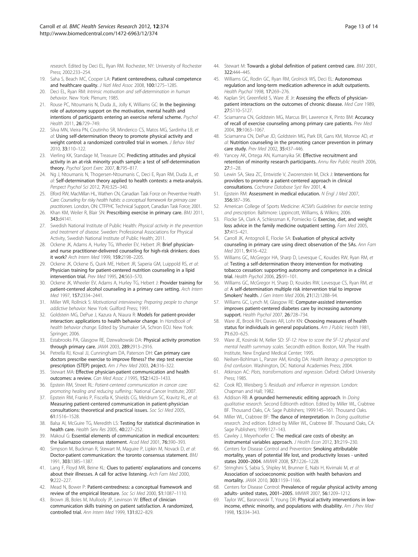<span id="page-12-0"></span>research. Edited by Deci EL, Ryan RM. Rochester, NY: University of Rochester Press; 2002:233–254.

- 19. Saha S, Beach MC, Cooper LA: Patient centeredness, cultural competence and healthcare quality. J Natl Med Assoc 2008, 100:1275-1285.
- 20. Deci EL, Ryan RM: Intrinsic motivation and self-determination in human behavior. New York: Plenum; 1985.
- 21. Rouse PC, Ntoumanis N, Duda JL, Jolly K, Williams GC: In the beginning: role of autonomy support on the motivation, mental health and intentions of participants entering an exercise referral scheme. Psychol Health 2011, 26:729–749.
- 22. Silva MN, Vieira PN, Coutinho SR, Minderico CS, Matos MG, Sardinha LB, et  $a$ : Using self-determination theory to promote physical activity and weight control: a randomized controlled trial in women. J Behav Med 2010, 33:110–122.
- 23. Vierling KK, Standage M, Treasure DC: Predicting attitudes and physical activity in an at-risk minority youth sample: a test of self-determination theory. Psychol Sport Exerc 2007, 8:795-817.
- 24. Ng J, Ntoumanis N, Thogersen-Ntoumanis C, Deci E, Ryan RM, Duda JL, et al: Self-determination theory applied to health contexts: a meta-analysis. Perspect Psychol Sci 2012, 7(4):325–340.
- 25. Elford RW, MacMillan HL, Wathen CN, Canadian Task Force on Preventive Health Care: Counseling for risky health habits: a conceptual framework for primary care practitioners. London, ON: CTFPHC Technical Support, Canadian Task Force; 2001.
- 26. Khan KM, Weiler R, Blair SN: Prescribing exercise in primary care. BMJ 2011, 343:d4141.
- 27. Swedish National Institute of Public Health: Physical activity in the prevention and treatment of disease. Sweden: Professional Associations for Physical Activity, Swedish National Institute of Public Health; 2011.
- 28. Ockene JK, Adams A, Hurley TG, Wheeler EV, Hebert JR: Brief physicianand nurse practitioner-delivered counseling for high-risk drinkers: does it work? Arch Intern Med 1999, 159:2198–2205.
- 29. Ockene JK, Ockene IS, Quirk ME, Hebert JR, Saperia GM, Luippold RS, et al: Physician training for patient-centered nutrition counseling in a lipid intervention trial. Prev Med 1995, 24:563–570.
- 30. Ockene JK, Wheeler EV, Adams A, Hurley TG, Hebert J: Provider training for patient-centered alcohol counseling in a primary care setting. Arch Intern Med 1997, 157:2334–2441.
- 31. Miller WR, Rollnick S: Motivational interviewing: Preparing people to change addictive behavior. New York: Guilford Press; 1991.
- 32. Goldstein MG, DePue J, Kazura A, Niaura R: Models for patient-provider interaction: applications to health behavior change. In Handbook of health behavior change. Edited by Shumaker SA, Schron EOJ. New York: Springer; 2006.
- 33. Estabrooks PA, Glasgow RE, Dzewaltowski DA: Physical activity promotion through primary care. JAMA 2003, 289:2913–2916.
- 34. Petrella RJ, Koval JJ, Cunningham DA, Paterson DH: Can primary care doctors prescribe exercise to improve fitness? the step test exercise prescription (STEP) project. Am J Prev Med 2003, 24:316-322.
- 35. Stewart MA: Effective physician-patient communication and health outcomes: a review. Can Med Assoc J 1995, 152:1423–1433.
- 36. Epstein RM, Street RL: Patient-centered communication in cancer care: promoting healing and reducing suffering.: National Cancer Institute; 2007.
- 37. Epstein RM, Franks P, Fiscella K, Shields CG, Meldrum SC, Kravitz RL, et al: Measuring patient-centered communication in patient-physician consultations: theoretical and practical issues. Soc Sci Med 2005, 61:1516–1528.
- 38. Balsa AI, McGuire TG, Meredith LS: Testing for statistical discrimination in health care. Health Serv Res 2005, 40:227–252.
- 39. Makoul G: Essential elements of communication in medical encounters: the kalamazoo consensus statement. Acad Med 2001, 76:390–393.
- 40. Simpson M, Buckman R, Stewart M, Maguire P, Lipkin M, Novack D, et al: Doctor-patient communication: the toronto consensus statement. BMJ 1991, 303:1385–1387.
- 41. Lang F, Floyd MR, Beine KL: Clues to patients' explanations and concerns about their illnesses. A call for active listening. Arch Fam Med 2000, 9:222–227.
- 42. Mead N, Bower P: Patient-centredness: a conceptual framework and review of the empirical literature. Soc Sci Med 2000, 51:1087-1110.
- 43. Brown JB, Boles M, Mullooly JP, Levinson W: Effect of clinician communication skills training on patient satisfaction. A randomized, controlled trial. Ann Intern Med 1999, 131:822–829.
- 44. Stewart M: Towards a global definition of patient centred care. BMJ 2001, 322:444–445.
- 45. Williams GC, Rodin GC, Ryan RM, Grolnick WS, Deci EL: Autonomous regulation and long-term medication adherence in adult outpatients. Health Psychol 1998, 17:269–276.
- 46. Kaplan SH, Greenfield S, Ware JE Jr: Assessing the effects of physicianpatient interactions on the outcomes of chronic disease. Med Care 1989, 27:S110–S127.
- 47. Sciamanna CN, Goldstein MG, Marcus BH, Lawrence K, Pinto BM: Accuracy of recall of exercise counseling among primary care patients. Prev Med 2004, 39:1063–1067.
- 48. Sciamanna CN, DePue JD, Goldstein MG, Park ER, Gans KM, Monroe AD, et al: Nutrition counseling in the promoting cancer prevention in primary care study. Prev Med 2002, 35:437–446.
- Yancey AK, Ortega AN, Kumanyika SK: Effective recruitment and retention of minority research participants. Annu Rev Public Health 2006, 27:1–28.
- 50. Lewin SA, Skea ZC, Entwistle V, Zworenstein M, Dick J: Interventions for providers to promote a patient-centered approach in clinical consultations. Cochrane Database Syst Rev 2001, 4.
- 51. Epstein RM: Assessment in medical education. N Engl J Med 2007, 356:387–396.
- 52. American College of Sports Medicine: ACSM's Guidelines for exercise testing and prescription. Baltimore: Lippincott, Williams, & Wilkins; 2006.
- 53. Flocke SA, Clark A, Schlessman K, Pomiecko G: Exercise, diet, and weight loss advice in the family medicine outpatient setting. Fam Med 2005, 37:415–421.
- 54. Carroll JK, Antognoli E, Flocke SA: Evaluation of physical activity counseling in primary care using direct observation of the 5As. Ann Fam Med 2011, 9:416-422.
- 55. Williams GC, McGregor HA, Sharp D, Levesque C, Kouides RW, Ryan RM, et al: Testing a self-determination theory intervention for motivating tobacco cessation: supporting autonomy and competence in a clinical trial. Health Psychol 2006, 25:91–101.
- 56. Williams GC, McGregor H, Sharp D, Kouides RW, Levesque CS, Ryan RM, et al: A self-determination multiple risk intervention trial to improve Smokers' health. J Gen Intern Med 2006, 21(12):1288-94.
- 57. Williams GC, Lynch M, Glasgow RE: Computer-assisted intervention improves patient-centered diabetes care by increasing autonomy support. Health Psychol 2007, 26:728-734.
- Ware JE, Brook RH, Davies AR, Lohr KN: Choosing measures of health status for individuals in general populations. Am J Public Health 1981, 71:620–625.
- 59. Ware JE, Kosinski M, Keller SD: SF-12: How to score the SF-12 physical and mental health summary scales. Secondth edition. Boston, MA: The Health Institute, New England Medical Center; 1995.
- Neilsen-Bohlman L, Panzer AM, Kindig DA: Health literacy: a prescription to End confusion. Washington, DC: National Academies Press; 2004.
- 61. Atkinson AC: Plots, transformations and regression. Oxford: Oxford University Press; 1985.
- 62. Cook RD, Weisberg S: Residuals and influence in regression. London: Chapman and Hall; 1982.
- 63. Addison RB: A grounded hermeneutic editing approach. In Doing qualitative research. Second Editionth edition. Edited by Miller WL, Crabtree BF. Thousand Oaks, CA: Sage Publishers; 1999:145–161. Thousand Oaks.
- 64. Miller WL, Crabtree BF: The dance of interpretation. In Doing qualitative research. 2nd edition. Edited by Miller WL, Crabtree BF. Thousand Oaks, CA: Sage Publishers; 1999:127–143.
- 65. Cawley J, Meyerhoefer C: The medical care costs of obesity: an instrumental variables approach. J Health Econ 2012, 31:219–230.
- 66. Centers for Disease Control and Prevention: Smoking attributable mortality, years of potential life lost, and productivity losses - united states 2000–2004. MMWR 2008, 57:1226–1228.
- 67. Stringhini S, Sabia S, Shipley M, Brunner E, Nabi H, Kivimaki M, et al: Association of socioeconomic position with health behaviors and mortality. JAMA 2010, 303:1159–1166.
- 68. Centers for Disease Control: Prevalence of regular physical activity among adults- united states, 2001–2005. MMWR 2007, 56:1209–1212.
- 69. Taylor WC, Baranowski T, Young DR: Physical activity interventions in lowincome, ethnic minority, and populations with disability. Am J Prev Med 1998, 15:334–343.